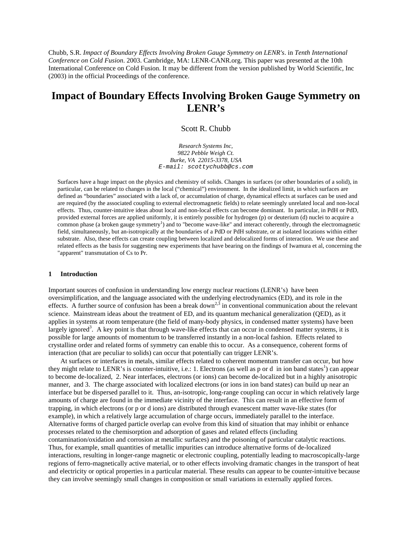Chubb, S.R. *Impact of Boundary Effects Involving Broken Gauge Symmetry on LENR's*. in *Tenth International Conference on Cold Fusion*. 2003. Cambridge, MA: LENR-CANR.org. This paper was presented at the 10th International Conference on Cold Fusion. It may be different from the version published by World Scientific, Inc (2003) in the official Proceedings of the conference.

# **Impact of Boundary Effects Involving Broken Gauge Symmetry on LENR's**

#### Scott R. Chubb

*Research Systems Inc, 9822 Pebble Weigh Ct. Burke, VA 22015-3378, USA E-mail: scottychubb@cs.com* 

Surfaces have a huge impact on the physics and chemistry of solids. Changes in surfaces (or other boundaries of a solid), in particular, can be related to changes in the local ("chemical") environment. In the idealized limit, in which surfaces are defined as "boundaries" associated with a lack of, or accumulation of charge, dynamical effects at surfaces can be used and are required (by the associated coupling to external electromagnetic fields) to relate seemingly unrelated local and non-local effects. Thus, counter-intuitive ideas about local and non-local effects can become dominant. In particular, in PdH or PdD, provided external forces are applied uniformly, it is entirely possible for hydrogen (p) or deuterium (d) nuclei to acquire a common phase (a broken gauge symmetry<sup>1</sup>) and to "become wave-like" and interact coherently, through the electromagnetic field, simultaneously, but an-isotropically at the boundaries of a PdD or PdH substrate, or at isolated locations within either substrate. Also, these effects can create coupling between localized and delocalized forms of interaction. We use these and related effects as the basis for suggesting new experiments that have bearing on the findings of Iwamura et al, concerning the "apparent" transmutation of Cs to Pr.

#### **1 Introduction**

Important sources of confusion in understanding low energy nuclear reactions (LENR's) have been oversimplification, and the language associated with the underlying electrodynamics (ED), and its role in the effects. A further source of confusion has been a break down<sup>2,3</sup> in conventional communication about the relevant science. Mainstream ideas about the treatment of ED, and its quantum mechanical generalization (QED), as it applies in systems at room temperature (the field of many-body physics, in condensed matter systems) have been largely ignored<sup>3</sup>. A key point is that through wave-like effects that can occur in condensed matter systems, it is possible for large amounts of momentum to be transferred instantly in a non-local fashion. Effects related to crystalline order and related forms of symmetry can enable this to occur. As a consequence, coherent forms of interaction (that are peculiar to solids) can occur that potentially can trigger LENR's.

At surfaces or interfaces in metals, similar effects related to coherent momentum transfer can occur, but how they might relate to LENR's is counter-intuitive, i.e.: 1. Electrons (as well as p or d in ion band states<sup>1</sup>) can appear to become de-localized, 2. Near interfaces, electrons (or ions) can become de-localized but in a highly anisotropic manner, and 3. The charge associated with localized electrons (or ions in ion band states) can build up near an interface but be dispersed parallel to it. Thus, an-isotropic, long-range coupling can occur in which relatively large amounts of charge are found in the immediate vicinity of the interface. This can result in an effective form of trapping, in which electrons (or p or d ions) are distributed through evanescent matter wave-like states (for example), in which a relatively large accumulation of charge occurs, immediately parallel to the interface. Alternative forms of charged particle overlap can evolve from this kind of situation that may inhibit or enhance processes related to the chemisorption and adsorption of gases and related effects (including contamination/oxidation and corrosion at metallic surfaces) and the poisoning of particular catalytic reactions. Thus, for example, small quantities of metallic impurities can introduce alternative forms of de-localized interactions, resulting in longer-range magnetic or electronic coupling, potentially leading to macroscopically-large regions of ferro-magnetically active material, or to other effects involving dramatic changes in the transport of heat and electricity or optical properties in a particular material. These results can appear to be counter-intuitive because they can involve seemingly small changes in composition or small variations in externally applied forces.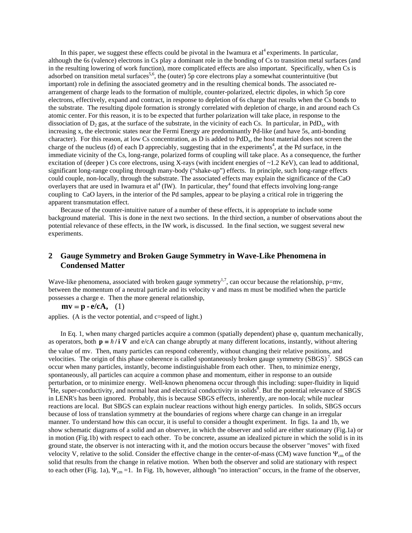In this paper, we suggest these effects could be pivotal in the Iwamura et  $al<sup>4</sup>$  experiments. In particular, although the 6s (valence) electrons in Cs play a dominant role in the bonding of Cs to transition metal surfaces (and in the resulting lowering of work function), more complicated effects are also important. Specifically, when Cs is adsorbed on transition metal surfaces<sup>5,6</sup>, the (outer) 5p core electrons play a somewhat counterintuitive (but important) role in defining the associated geometry and in the resulting chemical bonds. The associated rearrangement of charge leads to the formation of multiple, counter-polarized, electric dipoles, in which 5p core electrons, effectively, expand and contract, in response to depletion of 6s charge that results when the Cs bonds to the substrate. The resulting dipole formation is strongly correlated with depletion of charge, in and around each Cs atomic center. For this reason, it is to be expected that further polarization will take place, in response to the dissociation of  $D_2$  gas, at the surface of the substrate, in the vicinity of each Cs. In particular, in PdD<sub>x</sub>, with increasing x, the electronic states near the Fermi Energy are predominantly Pd-like (and have 5s, anti-bonding character). For this reason, at low Cs concentration, as  $D$  is added to  $PdD<sub>x</sub>$ , the host material does not screen the charge of the nucleus (d) of each D appreciably, suggesting that in the experiments<sup>4</sup>, at the Pd surface, in the immediate vicinity of the Cs, long-range, polarized forms of coupling will take place. As a consequence, the further excitation of (deeper ) Cs core electrons, using X-rays (with incident energies of ~1.2 KeV), can lead to additional, significant long-range coupling through many-body ("shake-up") effects. In principle, such long-range effects could couple, non-locally, through the substrate. The associated effects may explain the significance of the CaO overlayers that are used in Iwamura et al<sup>4</sup> (IW). In particular, they<sup>4</sup> found that effects involving long-range coupling to CaO layers, in the interior of the Pd samples, appear to be playing a critical role in triggering the apparent transmutation effect.

Because of the counter-intuitive nature of a number of these effects, it is appropriate to include some background material. This is done in the next two sections. In the third section, a number of observations about the potential relevance of these effects, in the IW work, is discussed. In the final section, we suggest several new experiments.

## **2 Gauge Symmetry and Broken Gauge Symmetry in Wave-Like Phenomena in Condensed Matter**

Wave-like phenomena, associated with broken gauge symmetry<sup>1,7</sup>, can occur because the relationship, p=mv, between the momentum of a neutral particle and its velocity v and mass m must be modified when the particle possesses a charge e. Then the more general relationship,

 $m\mathbf{v} = \mathbf{p} \cdot \mathbf{e}/c\mathbf{A}$ , (1)

applies. (A is the vector potential, and c=speed of light.)

In Eq. 1, when many charged particles acquire a common (spatially dependent) phase ϕ, quantum mechanically, as operators, both  $p = \hbar / i \nabla$  and e/cA can change abruptly at many different locations, instantly, without altering the value of mv. Then, many particles can respond coherently, without changing their relative positions, and velocities. The origin of this phase coherence is called spontaneously broken gauge symmetry  $(SBGS)^7$ . SBGS can occur when many particles, instantly, become indistinguishable from each other. Then, to minimize energy, spontaneously, all particles can acquire a common phase and momentum, either in response to an outside perturbation, or to minimize energy. Well-known phenomena occur through this including: super-fluidity in liquid 4 He, super-conductivity, and normal heat and electrical conductivity in solids<sup>8</sup>. But the potential relevance of SBGS in LENR's has been ignored. Probably, this is because SBGS effects, inherently, are non-local; while nuclear reactions are local. But SBGS can explain nuclear reactions without high energy particles. In solids, SBGS occurs because of loss of translation symmetry at the boundaries of regions where charge can change in an irregular manner. To understand how this can occur, it is useful to consider a thought experiment. In figs. 1a and 1b, we show schematic diagrams of a solid and an observer, in which the observer and solid are either stationary (Fig.1a) or in motion (Fig.1b) with respect to each other. To be concrete, assume an idealized picture in which the solid is in its ground state, the observer is not interacting with it, and the motion occurs because the observer "moves" with fixed velocity V, relative to the solid. Consider the effective change in the center-of-mass (CM) wave function  $\Psi_{cm}$  of the solid that results from the change in relative motion. When both the observer and solid are stationary with respect to each other (Fig. 1a),  $\Psi_{cm} = 1$ . In Fig. 1b, however, although "no interaction" occurs, in the frame of the observer,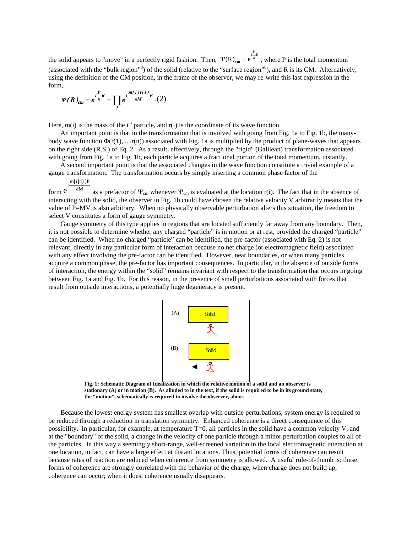the solid appears to "move" in a perfectly rigid fashion. Then,  $\Psi(R)_{cm} = e^{\int_{R}^{i P} R}$ , where P is the total momentum (associated with the "bulk region"<sup>8</sup>) of the solid (relative to the "surface region"<sup>8</sup>), and R is its CM. Alternatively, using the definition of the CM position, in the frame of the observer, we may re-write this last expression in the form,

$$
\Psi(R)_{cm}=e^{i\frac{P}{\hbar}R}=\prod_{i}e^{i\frac{m(i)r(i)}{\hbar M}P}.(2)
$$

Here,  $m(i)$  is the mass of the i<sup>th</sup> particle, and  $r(i)$  is the coordinate of its wave function.

An important point is that in the transformation that is involved with going from Fig. 1a to Fig. 1b, the manybody wave function  $\Phi(r(1),...,r(n))$  associated with Fig. 1a is multiplied by the product of plane-waves that appears on the right side (R.S.) of Eq. 2. As a result, effectively, through the "rigid" (Galilean) transformation associated with going from Fig. 1a to Fig. 1b, each particle acquires a fractional portion of the total momentum, instantly.

A second important point is that the associated changes in the wave function constitute a trivial example of a gauge transformation. The transformation occurs by simply inserting a common phase factor of the

 $\frac{m[i]r[i]P}{m}$ 

form  $e^{i \hbar M}$ as a prefactor of  $\Psi_{cm}$  whenever  $\Psi_{cm}$  is evaluated at the location r(i). The fact that in the absence of interacting with the solid, the observer in Fig. 1b could have chosen the relative velocity V arbitrarily means that the value of P=MV is also arbitrary. When no physically observable perturbation alters this situation, the freedom to select V constitutes a form of gauge symmetry.

Gauge symmetry of this type applies in regions that are located sufficiently far away from any boundary. Then, it is not possible to determine whether any charged "particle" is in motion or at rest, provided the charged "particle" can be identified. When no charged "particle" can be identified, the pre-factor (associated with Eq. 2) is not relevant, directly in any particular form of interaction because no net charge (or electromagnetic field) associated with any effect involving the pre-factor can be identified. However, near boundaries, or when many particles acquire a common phase, the pre-factor has important consequences. In particular, in the absence of outside forms of interaction, the energy within the "solid" remains invariant with respect to the transformation that occurs in going between Fig. 1a and Fig. 1b. For this reason, in the presence of small perturbations associated with forces that result from outside interactions, a potentially huge degeneracy is present.



**Fig. 1: Schematic Diagram of Idealization in which the relative motion of a solid and an observer is stationary (A) or in motion (B). As alluded to in the text, if the solid is required to be in its ground state, the "motion", schematically is required to involve the observer, alone.**

Because the lowest energy system has smallest overlap with outside perturbations, system energy is required to be reduced through a reduction in translation symmetry. Enhanced coherence is a direct consequence of this possibility. In particular, for example, at temperature T=0, all particles in the solid have a common velocity V, and at the "boundary" of the solid, a change in the velocity of one particle through a minor perturbation couples to all of the particles. In this way a seemingly short-range, well-screened variation in the local electromagnetic interaction at one location, in fact, can have a large effect at distant locations. Thus, potential forms of coherence can result because rates of reaction are reduced when coherence from symmetry is allowed. A useful rule-of-thumb is: these forms of coherence are strongly correlated with the behavior of the charge; when charge does not build up, coherence can occur; when it does, coherence usually disappears.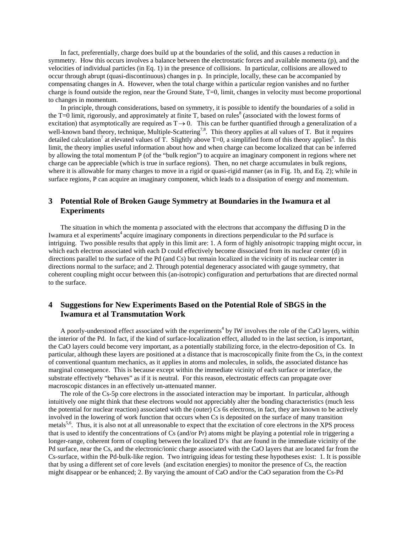In fact, preferentially, charge does build up at the boundaries of the solid, and this causes a reduction in symmetry. How this occurs involves a balance between the electrostatic forces and available momenta (p), and the velocities of individual particles (in Eq. 1) in the presence of collisions. In particular, collisions are allowed to occur through abrupt (quasi-discontinuous) changes in p. In principle, locally, these can be accompanied by compensating changes in A. However, when the total charge within a particular region vanishes and no further charge is found outside the region, near the Ground State, T=0, limit, changes in velocity must become proportional to changes in momentum.

In principle, through considerations, based on symmetry, it is possible to identify the boundaries of a solid in the  $T=0$  limit, rigorously, and approximately at finite T, based on rules<sup>8</sup> (associated with the lowest forms of excitation) that asymptotically are required as  $T \rightarrow 0$ . This can be further quantified through a generalization of a well-known band theory, technique, Multiple-Scattering<sup>7,8</sup>. This theory applies at all values of T. But it requires detailed calculation<sup>7</sup> at elevated values of T. Slightly above T=0, a simplified form of this theory applies<sup>8</sup>. In this limit, the theory implies useful information about how and when charge can become localized that can be inferred by allowing the total momentum P (of the "bulk region") to acquire an imaginary component in regions where net charge can be appreciable (which is true in surface regions). Then, no net charge accumulates in bulk regions, where it is allowable for many charges to move in a rigid or quasi-rigid manner (as in Fig. 1b, and Eq. 2); while in surface regions, P can acquire an imaginary component, which leads to a dissipation of energy and momentum.

# **3 Potential Role of Broken Gauge Symmetry at Boundaries in the Iwamura et al Experiments**

The situation in which the momenta p associated with the electrons that accompany the diffusing D in the Iwamura et al experiments<sup>4</sup> acquire imaginary components in directions perpendicular to the Pd surface is intriguing. Two possible results that apply in this limit are: 1. A form of highly anisotropic trapping might occur, in which each electron associated with each D could effectively become dissociated from its nuclear center (d) in directions parallel to the surface of the Pd (and Cs) but remain localized in the vicinity of its nuclear center in directions normal to the surface; and 2. Through potential degeneracy associated with gauge symmetry, that coherent coupling might occur between this (an-isotropic) configuration and perturbations that are directed normal to the surface.

## **4 Suggestions for New Experiments Based on the Potential Role of SBGS in the Iwamura et al Transmutation Work**

A poorly-understood effect associated with the experiments<sup>4</sup> by IW involves the role of the CaO layers, within the interior of the Pd. In fact, if the kind of surface-localization effect, alluded to in the last section, is important, the CaO layers could become very important, as a potentially stabilizing force, in the electro-deposition of Cs. In particular, although these layers are positioned at a distance that is macroscopically finite from the Cs, in the context of conventional quantum mechanics, as it applies in atoms and molecules, in solids, the associated distance has marginal consequence. This is because except within the immediate vicinity of each surface or interface, the substrate effectively "behaves" as if it is neutral. For this reason, electrostatic effects can propagate over macroscopic distances in an effectively un-attenuated manner.

The role of the Cs-5p core electrons in the associated interaction may be important. In particular, although intuitively one might think that these electrons would not appreciably alter the bonding characteristics (much less the potential for nuclear reaction) associated with the (outer) Cs 6s electrons, in fact, they are known to be actively involved in the lowering of work function that occurs when Cs is deposited on the surface of many transition metals<sup>5,6</sup>. Thus, it is also not at all unreasonable to expect that the excitation of core electrons in the XPS process that is used to identify the concentrations of Cs (and/or Pr) atoms might be playing a potential role in triggering a longer-range, coherent form of coupling between the localized D's that are found in the immediate vicinity of the Pd surface, near the Cs, and the electronic/ionic charge associated with the CaO layers that are located far from the Cs-surface, within the Pd-bulk-like region. Two intriguing ideas for testing these hypotheses exist: 1. It is possible that by using a different set of core levels (and excitation energies) to monitor the presence of Cs, the reaction might disappear or be enhanced; 2. By varying the amount of CaO and/or the CaO separation from the Cs-Pd